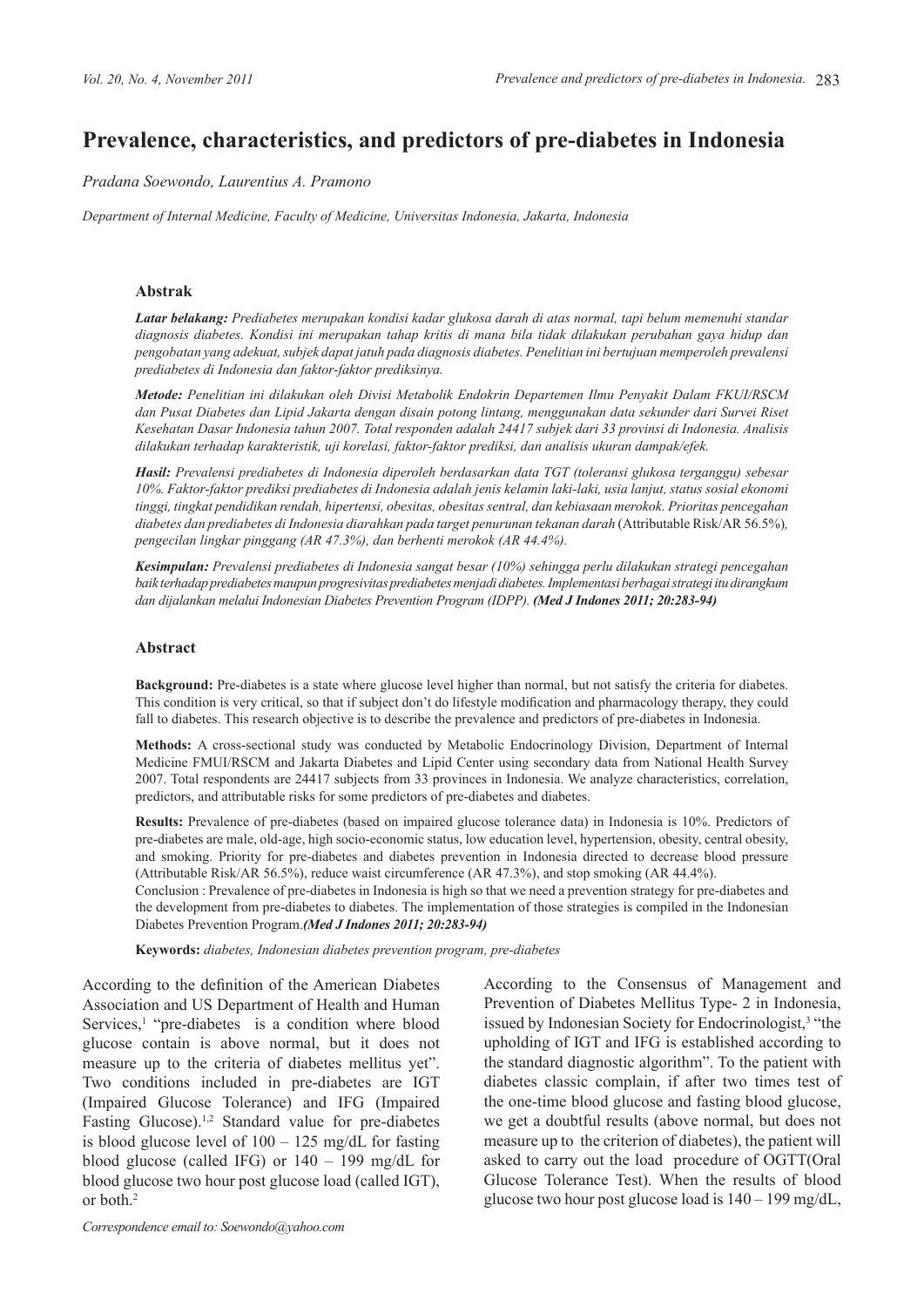# **Prevalence, characteristics, and predictors of pre-diabetes in Indonesia**

### *Pradana Soewondo, Laurentius A. Pramono*

*Department of Internal Medicine, Faculty of Medicine, Universitas Indonesia, Jakarta, Indonesia* 

#### **Abstrak**

*Latar belakang: Prediabetes merupakan kondisi kadar glukosa darah di atas normal, tapi belum memenuhi standar diagnosis diabetes. Kondisi ini merupakan tahap kritis di mana bila tidak dilakukan perubahan gaya hidup dan pengobatan yang adekuat, subjek dapat jatuh pada diagnosis diabetes. Penelitian ini bertujuan memperoleh prevalensi prediabetes di Indonesia dan faktor-faktor prediksinya.*

*Metode: Penelitian ini dilakukan oleh Divisi Metabolik Endokrin Departemen Ilmu Penyakit Dalam FKUI/RSCM dan Pusat Diabetes dan Lipid Jakarta dengan disain potong lintang, menggunakan data sekunder dari Survei Riset Kesehatan Dasar Indonesia tahun 2007. Total responden adalah 24417 subjek dari 33 provinsi di Indonesia. Analisis dilakukan terhadap karakteristik, uji korelasi, faktor-faktor prediksi, dan analisis ukuran dampak/efek.*

*Hasil: Prevalensi prediabetes di Indonesia diperoleh berdasarkan data TGT (toleransi glukosa terganggu) sebesar 10%. Faktor-faktor prediksi prediabetes di Indonesia adalah jenis kelamin laki-laki, usia lanjut, status sosial ekonomi tinggi, tingkat pendidikan rendah, hipertensi, obesitas, obesitas sentral, dan kebiasaan merokok. Prioritas pencegahan diabetes dan prediabetes di Indonesia diarahkan pada target penurunan tekanan darah* (Attributable Risk/AR 56.5%)*, pengecilan lingkar pinggang (AR 47.3%), dan berhenti merokok (AR 44.4%).*

*Kesimpulan: Prevalensi prediabetes di Indonesia sangat besar (10%) sehingga perlu dilakukan strategi pencegahan baik terhadap prediabetes maupun progresivitas prediabetes menjadi diabetes. Implementasi berbagai strategi itu dirangkum dan dijalankan melalui Indonesian Diabetes Prevention Program (IDPP). (Med J Indones 2011; 20:283-94)*

#### **Abstract**

**Background:** Pre-diabetes is a state where glucose level higher than normal, but not satisfy the criteria for diabetes. This condition is very critical, so that if subject don't do lifestyle modification and pharmacology therapy, they could fall to diabetes. This research objective is to describe the prevalence and predictors of pre-diabetes in Indonesia.

**Methods:** A cross-sectional study was conducted by Metabolic Endocrinology Division, Department of Internal Medicine FMUI/RSCM and Jakarta Diabetes and Lipid Center using secondary data from National Health Survey 2007. Total respondents are 24417 subjects from 33 provinces in Indonesia. We analyze characteristics, correlation, predictors, and attributable risks for some predictors of pre-diabetes and diabetes.

Results: Prevalence of pre-diabetes (based on impaired glucose tolerance data) in Indonesia is 10%. Predictors of pre-diabetes are male, old-age, high socio-economic status, low education level, hypertension, obesity, central obesity, and smoking. Priority for pre-diabetes and diabetes prevention in Indonesia directed to decrease blood pressure (Attributable Risk/AR 56.5%), reduce waist circumference (AR 47.3%), and stop smoking (AR 44.4%).

Conclusion : Prevalence of pre-diabetes in Indonesia is high so that we need a prevention strategy for pre-diabetes and the development from pre-diabetes to diabetes. The implementation of those strategies is compiled in the Indonesian Diabetes Prevention Program.*(Med J Indones 2011; 20:283-94)*

**Keywords:** *diabetes, Indonesian diabetes prevention program, pre-diabetes*

According to the definition of the American Diabetes Association and US Department of Health and Human Services,<sup>1</sup> "pre-diabetes is a condition where blood glucose contain is above normal, but it does not measure up to the criteria of diabetes mellitus yet". Two conditions included in pre-diabetes are IGT (Impaired Glucose Tolerance) and IFG (Impaired Fasting Glucose).<sup>1,2</sup> Standard value for pre-diabetes is blood glucose level of 100 – 125 mg/dL for fasting blood glucose (called IFG) or 140 – 199 mg/dL for blood glucose two hour post glucose load (called IGT), or both.2

*Correspondence email to: Soewondo@yahoo.com*

According to the Consensus of Management and Prevention of Diabetes Mellitus Type- 2 in Indonesia, issued by Indonesian Society for Endocrinologist,<sup>3</sup> "the upholding of IGT and IFG is established according to the standard diagnostic algorithm". To the patient with diabetes classic complain, if after two times test of the one-time blood glucose and fasting blood glucose, we get a doubtful results (above normal, but does not measure up to the criterion of diabetes), the patient will asked to carry out the load procedure of OGTT(Oral Glucose Tolerance Test). When the results of blood glucose two hour post glucose load is 140 – 199 mg/dL,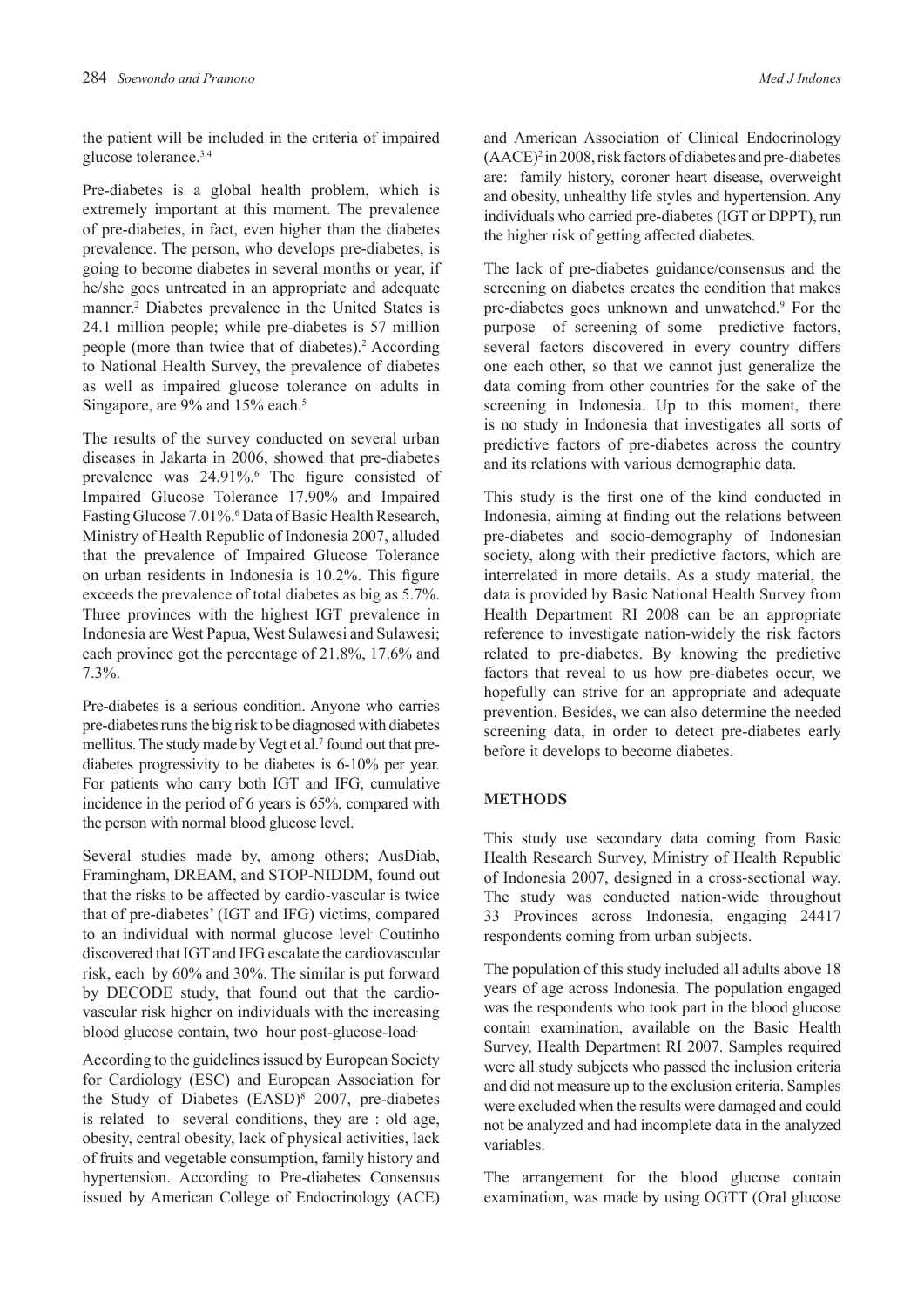the patient will be included in the criteria of impaired glucose tolerance.3,4

Pre-diabetes is a global health problem, which is extremely important at this moment. The prevalence of pre-diabetes, in fact, even higher than the diabetes prevalence. The person, who develops pre-diabetes, is going to become diabetes in several months or year, if he/she goes untreated in an appropriate and adequate manner.<sup>2</sup> Diabetes prevalence in the United States is 24.1 million people; while pre-diabetes is 57 million people (more than twice that of diabetes).<sup>2</sup> According to National Health Survey, the prevalence of diabetes as well as impaired glucose tolerance on adults in Singapore, are 9% and 15% each.<sup>5</sup>

The results of the survey conducted on several urban diseases in Jakarta in 2006, showed that pre-diabetes prevalence was 24.91%.<sup>6</sup> The figure consisted of Impaired Glucose Tolerance 17.90% and Impaired Fasting Glucose 7.01%.<sup>6</sup> Data of Basic Health Research, Ministry of Health Republic of Indonesia 2007, alluded that the prevalence of Impaired Glucose Tolerance on urban residents in Indonesia is 10.2%. This figure exceeds the prevalence of total diabetes as big as 5.7%. Three provinces with the highest IGT prevalence in Indonesia are West Papua, West Sulawesi and Sulawesi; each province got the percentage of 21.8%, 17.6% and 7.3%.

Pre-diabetes is a serious condition. Anyone who carries pre-diabetes runs the big risk to be diagnosed with diabetes mellitus. The study made by Vegt et al.<sup>7</sup> found out that prediabetes progressivity to be diabetes is 6-10% per year. For patients who carry both IGT and IFG, cumulative incidence in the period of 6 years is 65%, compared with the person with normal blood glucose level.

Several studies made by, among others; AusDiab, Framingham, DREAM, and STOP-NIDDM, found out that the risks to be affected by cardio-vascular is twice that of pre-diabetes' (IGT and IFG) victims, compared to an individual with normal glucose level. Coutinho discovered that IGT and IFG escalate the cardiovascular risk, each by 60% and 30%. The similar is put forward by DECODE study, that found out that the cardiovascular risk higher on individuals with the increasing blood glucose contain, two hour post-glucose-load.

According to the guidelines issued by European Society for Cardiology (ESC) and European Association for the Study of Diabetes (EASD)<sup>8</sup> 2007, pre-diabetes is related to several conditions, they are : old age, obesity, central obesity, lack of physical activities, lack of fruits and vegetable consumption, family history and hypertension. According to Pre-diabetes Consensus issued by American College of Endocrinology (ACE)

and American Association of Clinical Endocrinology (AACE)<sup>2</sup> in 2008, risk factors of diabetes and pre-diabetes are: family history, coroner heart disease, overweight and obesity, unhealthy life styles and hypertension. Any individuals who carried pre-diabetes (IGT or DPPT), run the higher risk of getting affected diabetes.

The lack of pre-diabetes guidance/consensus and the screening on diabetes creates the condition that makes pre-diabetes goes unknown and unwatched.9 For the purpose of screening of some predictive factors, several factors discovered in every country differs one each other, so that we cannot just generalize the data coming from other countries for the sake of the screening in Indonesia. Up to this moment, there is no study in Indonesia that investigates all sorts of predictive factors of pre-diabetes across the country and its relations with various demographic data.

This study is the first one of the kind conducted in Indonesia, aiming at finding out the relations between pre-diabetes and socio-demography of Indonesian society, along with their predictive factors, which are interrelated in more details. As a study material, the data is provided by Basic National Health Survey from Health Department RI 2008 can be an appropriate reference to investigate nation-widely the risk factors related to pre-diabetes. By knowing the predictive factors that reveal to us how pre-diabetes occur, we hopefully can strive for an appropriate and adequate prevention. Besides, we can also determine the needed screening data, in order to detect pre-diabetes early before it develops to become diabetes.

# **METHODS**

This study use secondary data coming from Basic Health Research Survey, Ministry of Health Republic of Indonesia 2007, designed in a cross-sectional way. The study was conducted nation-wide throughout 33 Provinces across Indonesia, engaging 24417 respondents coming from urban subjects.

The population of this study included all adults above 18 years of age across Indonesia. The population engaged was the respondents who took part in the blood glucose contain examination, available on the Basic Health Survey, Health Department RI 2007. Samples required were all study subjects who passed the inclusion criteria and did not measure up to the exclusion criteria. Samples were excluded when the results were damaged and could not be analyzed and had incomplete data in the analyzed variables.

The arrangement for the blood glucose contain examination, was made by using OGTT (Oral glucose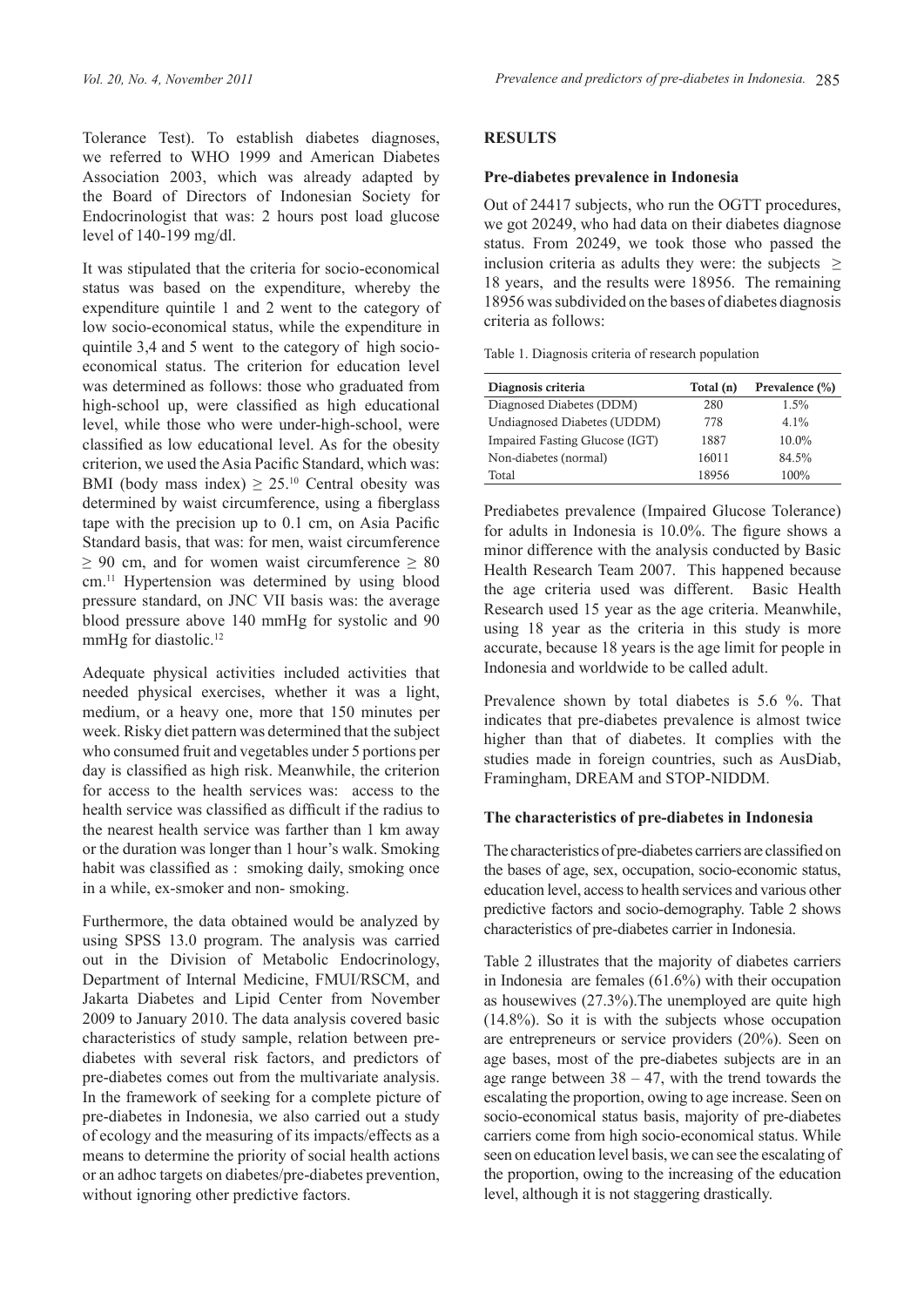Tolerance Test). To establish diabetes diagnoses, we referred to WHO 1999 and American Diabetes Association 2003, which was already adapted by the Board of Directors of Indonesian Society for Endocrinologist that was: 2 hours post load glucose level of 140-199 mg/dl.

It was stipulated that the criteria for socio-economical status was based on the expenditure, whereby the expenditure quintile 1 and 2 went to the category of low socio-economical status, while the expenditure in quintile 3,4 and 5 went to the category of high socioeconomical status. The criterion for education level was determined as follows: those who graduated from high-school up, were classified as high educational level, while those who were under-high-school, were classified as low educational level. As for the obesity criterion, we used the Asia Pacific Standard, which was: BMI (body mass index)  $\geq 25^{10}$  Central obesity was determined by waist circumference, using a fiberglass tape with the precision up to 0.1 cm, on Asia Pacific Standard basis, that was: for men, waist circumference  $\geq 90$  cm, and for women waist circumference  $\geq 80$ cm.11 Hypertension was determined by using blood pressure standard, on JNC VII basis was: the average blood pressure above 140 mmHg for systolic and 90 mmHg for diastolic.<sup>12</sup>

Adequate physical activities included activities that needed physical exercises, whether it was a light, medium, or a heavy one, more that 150 minutes per week. Risky diet pattern was determined that the subject who consumed fruit and vegetables under 5 portions per day is classified as high risk. Meanwhile, the criterion for access to the health services was: access to the health service was classified as difficult if the radius to the nearest health service was farther than 1 km away or the duration was longer than 1 hour's walk. Smoking habit was classified as : smoking daily, smoking once in a while, ex-smoker and non- smoking.

Furthermore, the data obtained would be analyzed by using SPSS 13.0 program. The analysis was carried out in the Division of Metabolic Endocrinology, Department of Internal Medicine, FMUI/RSCM, and Jakarta Diabetes and Lipid Center from November 2009 to January 2010. The data analysis covered basic characteristics of study sample, relation between prediabetes with several risk factors, and predictors of pre-diabetes comes out from the multivariate analysis. In the framework of seeking for a complete picture of pre-diabetes in Indonesia, we also carried out a study of ecology and the measuring of its impacts/effects as a means to determine the priority of social health actions or an adhoc targets on diabetes/pre-diabetes prevention, without ignoring other predictive factors.

# **Results**

# **Pre-diabetes prevalence in Indonesia**

Out of 24417 subjects, who run the OGTT procedures, we got 20249, who had data on their diabetes diagnose status. From 20249, we took those who passed the inclusion criteria as adults they were: the subjects  $\geq$ 18 years, and the results were 18956. The remaining 18956 was subdivided on the bases of diabetes diagnosis criteria as follows:

Table 1. Diagnosis criteria of research population

| Diagnosis criteria             | Total (n) | Prevalence $(\% )$ |
|--------------------------------|-----------|--------------------|
| Diagnosed Diabetes (DDM)       | 280       | $1.5\%$            |
| Undiagnosed Diabetes (UDDM)    | 778       | $4.1\%$            |
| Impaired Fasting Glucose (IGT) | 1887      | 10.0%              |
| Non-diabetes (normal)          | 16011     | 84.5%              |
| Total                          | 18956     | 100%               |

Prediabetes prevalence (Impaired Glucose Tolerance) for adults in Indonesia is 10.0%. The figure shows a minor difference with the analysis conducted by Basic Health Research Team 2007. This happened because the age criteria used was different. Basic Health Research used 15 year as the age criteria. Meanwhile, using 18 year as the criteria in this study is more accurate, because 18 years is the age limit for people in Indonesia and worldwide to be called adult.

Prevalence shown by total diabetes is 5.6 %. That indicates that pre-diabetes prevalence is almost twice higher than that of diabetes. It complies with the studies made in foreign countries, such as AusDiab, Framingham, DREAM and STOP-NIDDM.

# **The characteristics of pre-diabetes in Indonesia**

The characteristics of pre-diabetes carriers are classified on the bases of age, sex, occupation, socio-economic status, education level, access to health services and various other predictive factors and socio-demography. Table 2 shows characteristics of pre-diabetes carrier in Indonesia.

Table 2 illustrates that the majority of diabetes carriers in Indonesia are females (61.6%) with their occupation as housewives (27.3%).The unemployed are quite high (14.8%). So it is with the subjects whose occupation are entrepreneurs or service providers (20%). Seen on age bases, most of the pre-diabetes subjects are in an age range between  $38 - 47$ , with the trend towards the escalating the proportion, owing to age increase. Seen on socio-economical status basis, majority of pre-diabetes carriers come from high socio-economical status. While seen on education level basis, we can see the escalating of the proportion, owing to the increasing of the education level, although it is not staggering drastically.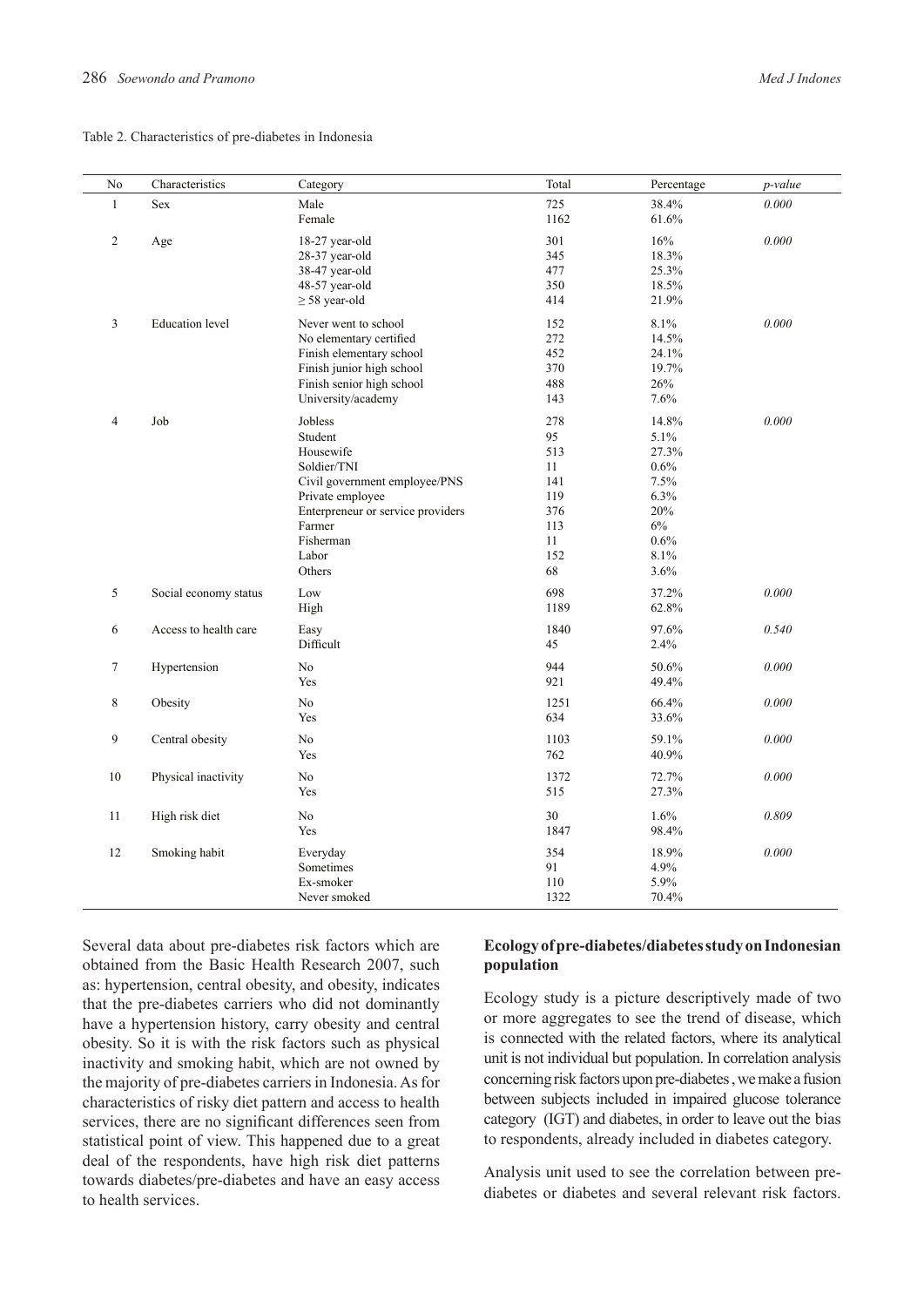#### Table 2. Characteristics of pre-diabetes in Indonesia

| N <sub>0</sub> | Characteristics        | Category                          | Total       | Percentage     | p-value   |
|----------------|------------------------|-----------------------------------|-------------|----------------|-----------|
| $\mathbf{1}$   | Sex                    | Male                              | 725         | 38.4%          | 0.000     |
|                |                        | Female                            | 1162        | 61.6%          |           |
| $\overline{c}$ | Age                    | 18-27 year-old                    | 301         | $16\%$         | $0.000\,$ |
|                |                        | 28-37 year-old                    | 345         | 18.3%          |           |
|                |                        | 38-47 year-old                    | 477         | 25.3%          |           |
|                |                        | 48-57 year-old                    | 350         | 18.5%          |           |
|                |                        | $\geq$ 58 year-old                | 414         | 21.9%          |           |
|                |                        |                                   |             |                |           |
| 3              | <b>Education</b> level | Never went to school              | 152         | 8.1%           | 0.000     |
|                |                        | No elementary certified           | 272         | 14.5%          |           |
|                |                        | Finish elementary school          | 452         | 24.1%          |           |
|                |                        | Finish junior high school         | 370         | 19.7%          |           |
|                |                        | Finish senior high school         | 488         | 26%            |           |
|                |                        | University/academy                | 143         | 7.6%           |           |
| $\overline{4}$ | Job                    | Jobless                           | 278         | 14.8%          | 0.000     |
|                |                        | Student                           | 95          | 5.1%           |           |
|                |                        | Housewife                         | 513         | 27.3%          |           |
|                |                        | Soldier/TNI                       | 11          | 0.6%           |           |
|                |                        | Civil government employee/PNS     | 141         | 7.5%           |           |
|                |                        | Private employee                  | 119         | 6.3%           |           |
|                |                        | Enterpreneur or service providers | 376         | 20%            |           |
|                |                        | Farmer                            | 113         | 6%             |           |
|                |                        | Fisherman                         | 11          | 0.6%           |           |
|                |                        | Labor                             | 152         | 8.1%           |           |
|                |                        | Others                            | 68          | 3.6%           |           |
| 5              | Social economy status  | Low                               | 698         | 37.2%          | 0.000     |
|                |                        | High                              | 1189        | 62.8%          |           |
| 6              | Access to health care  | Easy                              | 1840        | 97.6%          | 0.540     |
|                |                        | Difficult                         | 45          | 2.4%           |           |
|                |                        | No                                | 944         | 50.6%          | 0.000     |
| 7              | Hypertension           | Yes                               | 921         |                |           |
|                |                        |                                   |             | 49.4%          |           |
| 8              | Obesity                | No                                | 1251        | 66.4%          | 0.000     |
|                |                        | Yes                               | 634         | 33.6%          |           |
| 9              | Central obesity        | No                                | 1103        | 59.1%          | 0.000     |
|                |                        | Yes                               | 762         | 40.9%          |           |
|                |                        | No                                |             |                | 0.000     |
| 10             | Physical inactivity    | Yes                               | 1372<br>515 | 72.7%<br>27.3% |           |
|                |                        |                                   |             |                |           |
| 11             | High risk diet         | No                                | 30          | 1.6%           | 0.809     |
|                |                        | Yes                               | 1847        | 98.4%          |           |
| 12             | Smoking habit          | Everyday                          | 354         | 18.9%          | 0.000     |
|                |                        | Sometimes                         | 91          | 4.9%           |           |
|                |                        | Ex-smoker                         | 110         | 5.9%           |           |
|                |                        | Never smoked                      | 1322        | 70.4%          |           |
|                |                        |                                   |             |                |           |

Several data about pre-diabetes risk factors which are obtained from the Basic Health Research 2007, such as: hypertension, central obesity, and obesity, indicates that the pre-diabetes carriers who did not dominantly have a hypertension history, carry obesity and central obesity. So it is with the risk factors such as physical inactivity and smoking habit, which are not owned by the majority of pre-diabetes carriers in Indonesia. As for characteristics of risky diet pattern and access to health services, there are no significant differences seen from statistical point of view. This happened due to a great deal of the respondents, have high risk diet patterns towards diabetes/pre-diabetes and have an easy access to health services.

# **Ecology of pre-diabetes/diabetes study on Indonesian population**

Ecology study is a picture descriptively made of two or more aggregates to see the trend of disease, which is connected with the related factors, where its analytical unit is not individual but population. In correlation analysis concerning risk factors upon pre-diabetes , we make a fusion between subjects included in impaired glucose tolerance category (IGT) and diabetes, in order to leave out the bias to respondents, already included in diabetes category.

Analysis unit used to see the correlation between prediabetes or diabetes and several relevant risk factors.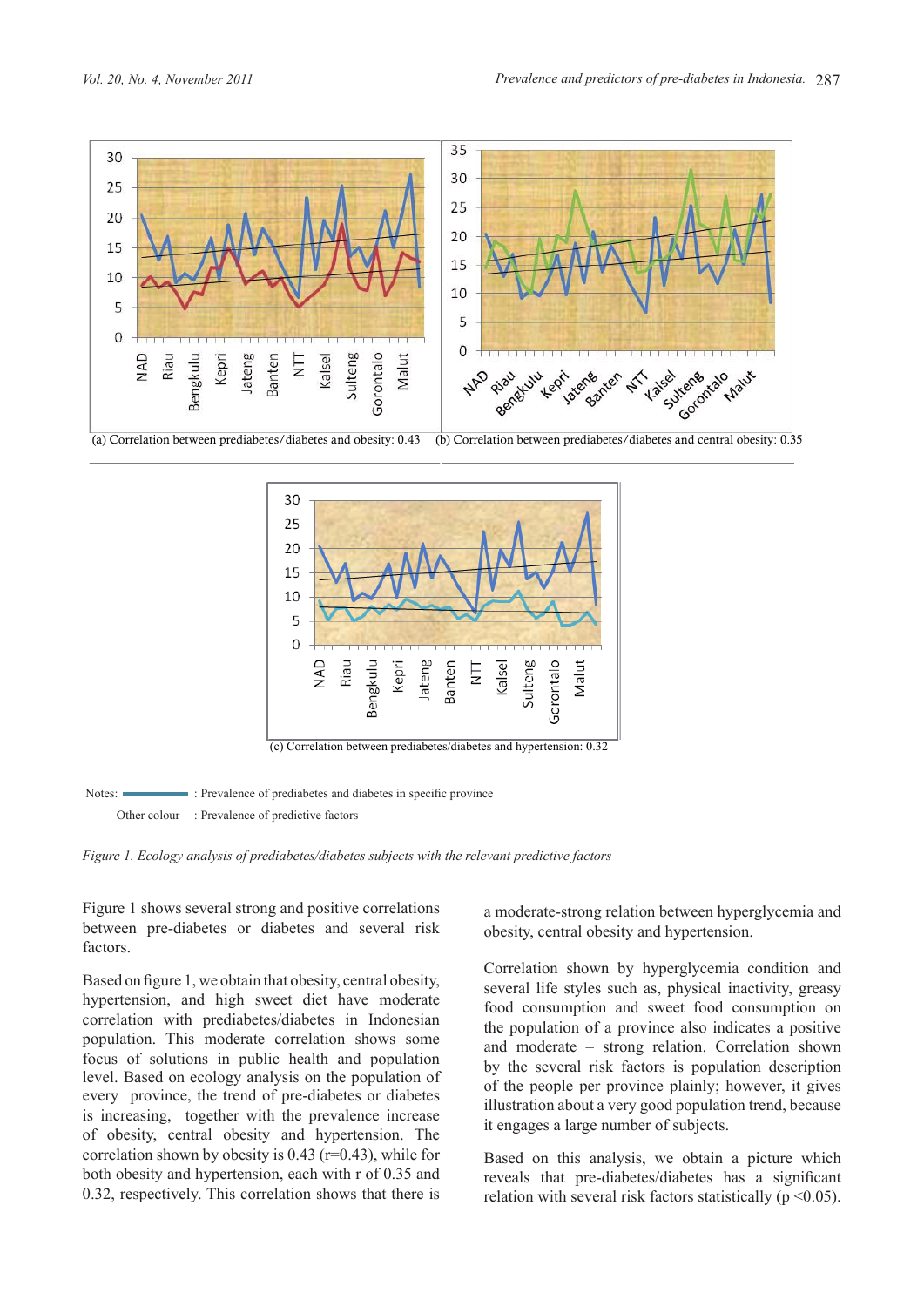



Notes:  $\blacksquare$ : Prevalence of prediabetes and diabetes in specific province Other colour : Prevalence of predictive factors

*Figure 1. Ecology analysis of prediabetes/diabetes subjects with the relevant predictive factors*

Figure 1 shows several strong and positive correlations between pre-diabetes or diabetes and several risk factors.

population. This moderate correlation shows some  $\frac{dP}{dP}$  moderate  $\frac{dP}{dP}$  strong relation. Correlation  $\frac{1}{2}$  level. Based on ecology analysis on the population of  $\frac{1}{2}$  of the people per r every province, the trend of pre-diabetes or diabetes of obesity, central obesity and hypertension. The **relaxation** it engages a large number of subjects. is increasing, together with the prevalence increase  $\frac{1}{t}$  in second a local number Based on figure 1, we obtain that obesity, central obesity, hypertension, and high sweet diet have moderate correlation with prediabetes/diabetes in Indonesian correlation shown by obesity is  $0.43$  (r=0.43), while for both obesity and hypertension, each with r of 0.35 and 0.32, respectively. This correlation shows that there is

a moderate-strong relation between hyperglycemia and obesity, central obesity and hypertension.

 $\frac{1}{2}$  and moderate  $\frac{1}{2}$  and moderate  $\frac{1}{2}$  and moderate  $\frac{1}{2}$  strong relation. Correlation shown focus of solutions in public health and population In the diabetes or diabetes illustration about a very good population trend, because Correlation shown by hyperglycemia condition and several life styles such as, physical inactivity, greasy food consumption and sweet food consumption on the population of a province also indicates a positive and moderate – strong relation. Correlation shown by the several risk factors is population description of the people per province plainly; however, it gives it engages a large number of subjects.

> is 0.43 ( $r=0.43$ ), while for Based on this analysis, we obtain a picture which reveals that pre-diabetes/diabetes has a significant relation with several risk factors statistically ( $p \le 0.05$ ).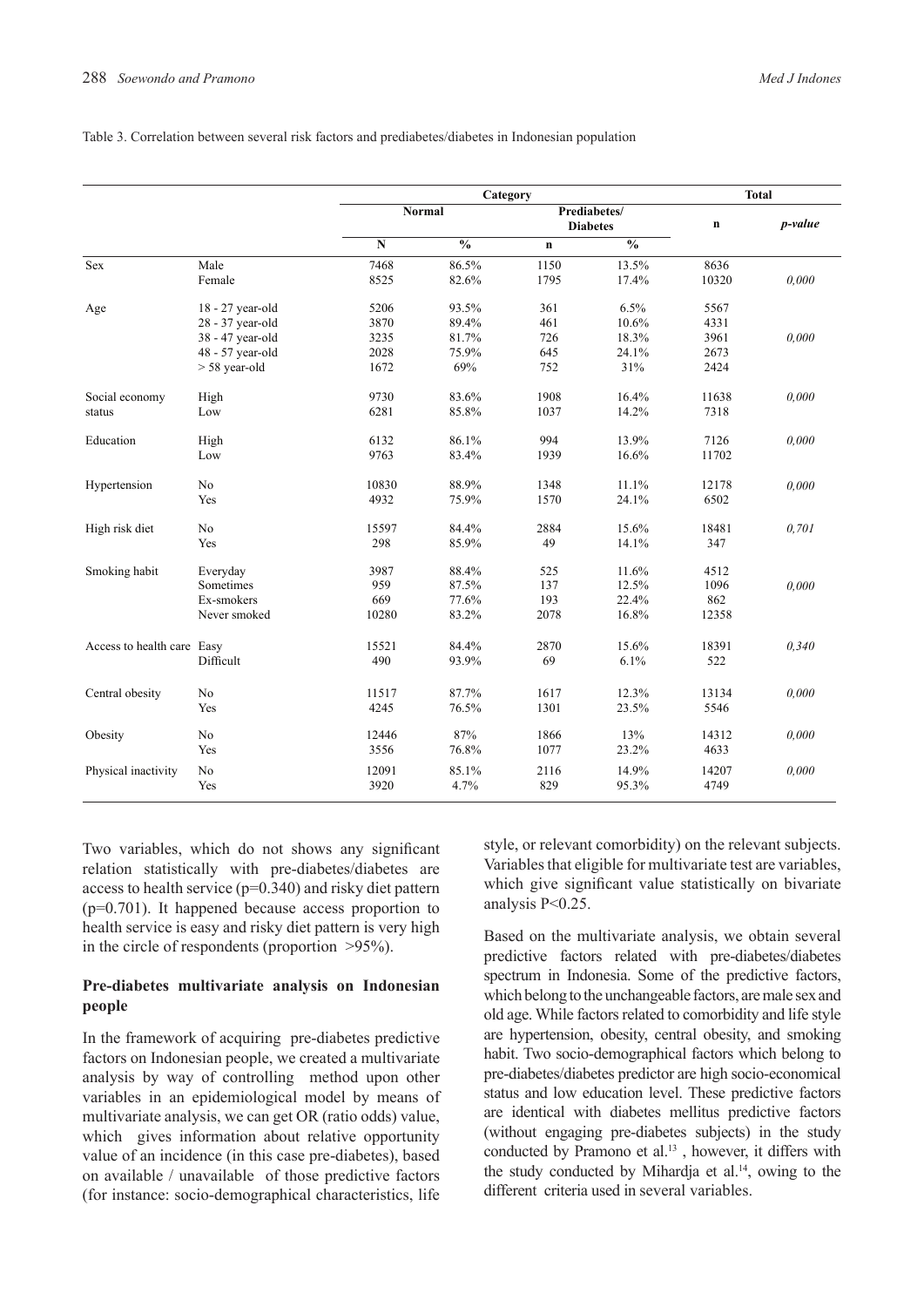#### Table 3. Correlation between several risk factors and prediabetes/diabetes in Indonesian population

|                            |                  |           | <b>Total</b>  |              |                          |             |         |
|----------------------------|------------------|-----------|---------------|--------------|--------------------------|-------------|---------|
|                            |                  | Normal    |               | Prediabetes/ |                          |             |         |
|                            |                  |           |               |              | <b>Diabetes</b>          | $\mathbf n$ | p-value |
|                            |                  | ${\bf N}$ | $\frac{1}{2}$ | $\mathbf n$  | $\overline{\frac{0}{0}}$ |             |         |
| Sex                        | Male             | 7468      | 86.5%         | 1150         | 13.5%                    | 8636        |         |
|                            | Female           | 8525      | 82.6%         | 1795         | 17.4%                    | 10320       | 0.000   |
| Age                        | 18 - 27 year-old | 5206      | 93.5%         | 361          | 6.5%                     | 5567        |         |
|                            | 28 - 37 year-old | 3870      | 89.4%         | 461          | 10.6%                    | 4331        |         |
|                            | 38 - 47 year-old | 3235      | 81.7%         | 726          | 18.3%                    | 3961        | 0.000   |
|                            | 48 - 57 year-old | 2028      | 75.9%         | 645          | 24.1%                    | 2673        |         |
|                            | $> 58$ year-old  | 1672      | 69%           | 752          | 31%                      | 2424        |         |
| Social economy             | High             | 9730      | 83.6%         | 1908         | 16.4%                    | 11638       | 0.000   |
| status                     | Low              | 6281      | 85.8%         | 1037         | 14.2%                    | 7318        |         |
| Education                  | High             | 6132      | 86.1%         | 994          | 13.9%                    | 7126        | 0.000   |
|                            | Low              | 9763      | 83.4%         | 1939         | 16.6%                    | 11702       |         |
| Hypertension               | No               | 10830     | 88.9%         | 1348         | 11.1%                    | 12178       | 0,000   |
|                            | Yes              | 4932      | 75.9%         | 1570         | 24.1%                    | 6502        |         |
| High risk diet             | No               | 15597     | 84.4%         | 2884         | 15.6%                    | 18481       | 0,701   |
|                            | Yes              | 298       | 85.9%         | 49           | 14.1%                    | 347         |         |
| Smoking habit              | Everyday         | 3987      | 88.4%         | 525          | 11.6%                    | 4512        |         |
|                            | Sometimes        | 959       | 87.5%         | 137          | 12.5%                    | 1096        | 0.000   |
|                            | Ex-smokers       | 669       | 77.6%         | 193          | 22.4%                    | 862         |         |
|                            | Never smoked     | 10280     | 83.2%         | 2078         | 16.8%                    | 12358       |         |
| Access to health care Easy |                  | 15521     | 84.4%         | 2870         | 15.6%                    | 18391       | 0,340   |
|                            | Difficult        | 490       | 93.9%         | 69           | 6.1%                     | 522         |         |
| Central obesity            | No               | 11517     | 87.7%         | 1617         | 12.3%                    | 13134       | 0.000   |
|                            | Yes              | 4245      | 76.5%         | 1301         | 23.5%                    | 5546        |         |
| Obesity                    | No               | 12446     | 87%           | 1866         | 13%                      | 14312       | 0.000   |
|                            | Yes              | 3556      | 76.8%         | 1077         | 23.2%                    | 4633        |         |
| Physical inactivity        | No               | 12091     | 85.1%         | 2116         | 14.9%                    | 14207       | 0,000   |
|                            | Yes              | 3920      | 4.7%          | 829          | 95.3%                    | 4749        |         |

Two variables, which do not shows any significant relation statistically with pre-diabetes/diabetes are access to health service (p=0.340) and risky diet pattern (p=0.701). It happened because access proportion to health service is easy and risky diet pattern is very high in the circle of respondents (proportion >95%).

# **Pre-diabetes multivariate analysis on Indonesian people**

In the framework of acquiring pre-diabetes predictive factors on Indonesian people, we created a multivariate analysis by way of controlling method upon other variables in an epidemiological model by means of multivariate analysis, we can get OR (ratio odds) value, which gives information about relative opportunity value of an incidence (in this case pre-diabetes), based on available / unavailable of those predictive factors (for instance: socio-demographical characteristics, life

style, or relevant comorbidity) on the relevant subjects. Variables that eligible for multivariate test are variables, which give significant value statistically on bivariate analysis P<0.25.

Based on the multivariate analysis, we obtain several predictive factors related with pre-diabetes/diabetes spectrum in Indonesia. Some of the predictive factors, which belong to the unchangeable factors, are male sex and old age. While factors related to comorbidity and life style are hypertension, obesity, central obesity, and smoking habit. Two socio-demographical factors which belong to pre-diabetes/diabetes predictor are high socio-economical status and low education level. These predictive factors are identical with diabetes mellitus predictive factors (without engaging pre-diabetes subjects) in the study conducted by Pramono et al.<sup>13</sup>, however, it differs with the study conducted by Mihardja et al. $14$ , owing to the different criteria used in several variables.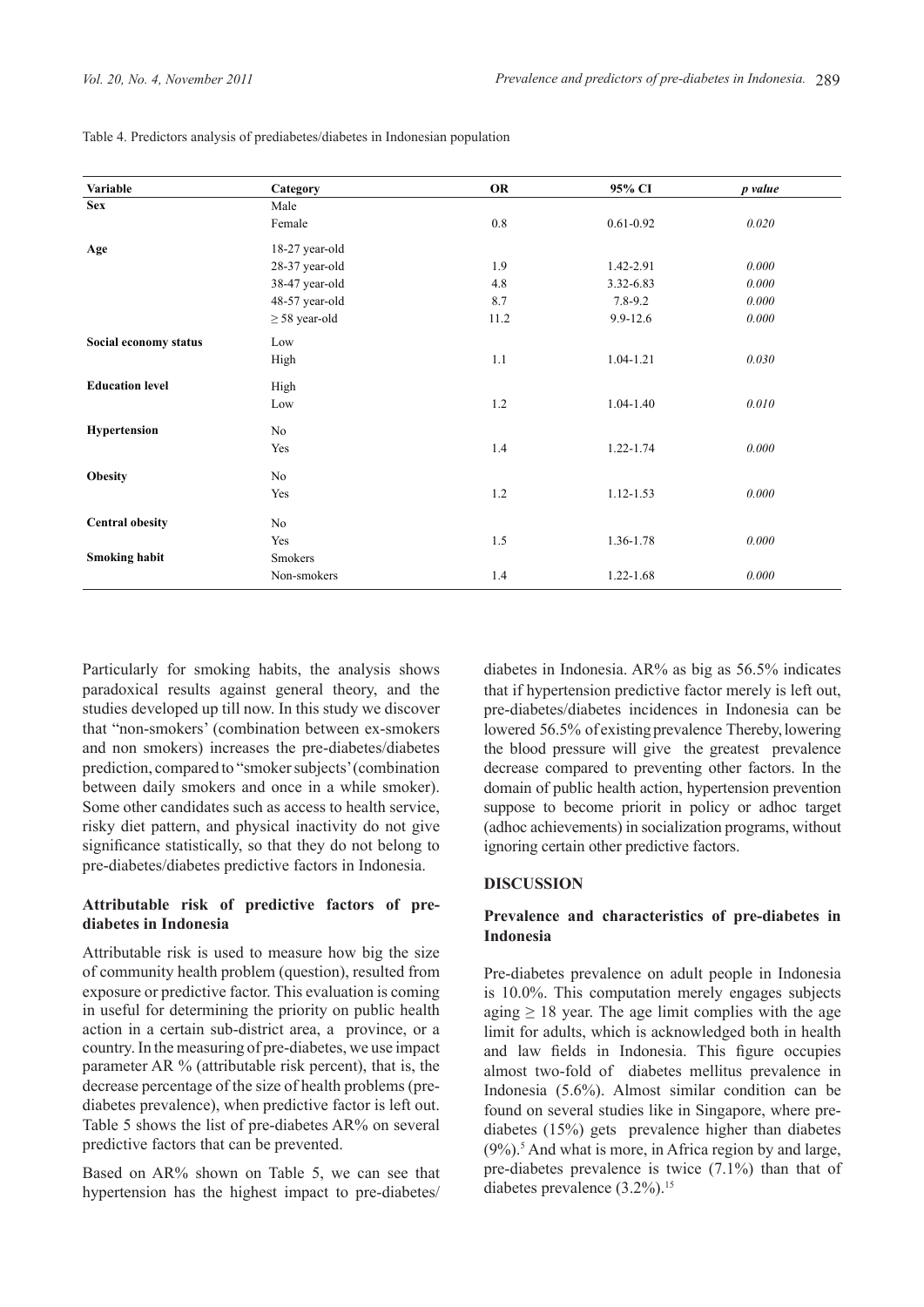| Variable               | Category           | OR      | 95% CI        | p value |
|------------------------|--------------------|---------|---------------|---------|
| <b>Sex</b>             | Male               |         |               |         |
|                        | Female             | $0.8\,$ | $0.61 - 0.92$ | 0.020   |
| Age                    | 18-27 year-old     |         |               |         |
|                        | 28-37 year-old     | 1.9     | 1.42-2.91     | 0.000   |
|                        | 38-47 year-old     | 4.8     | 3.32-6.83     | 0.000   |
|                        | 48-57 year-old     | 8.7     | $7.8 - 9.2$   | 0.000   |
|                        | $\geq$ 58 year-old | 11.2    | $9.9 - 12.6$  | 0.000   |
| Social economy status  | Low                |         |               |         |
|                        | High               | 1.1     | $1.04 - 1.21$ | 0.030   |
| <b>Education level</b> | High               |         |               |         |
|                        | Low                | 1.2     | $1.04 - 1.40$ | 0.010   |
| <b>Hypertension</b>    | No                 |         |               |         |
|                        | Yes                | 1.4     | $1.22 - 1.74$ | 0.000   |
| <b>Obesity</b>         | No                 |         |               |         |
|                        | Yes                | $1.2\,$ | 1.12-1.53     | 0.000   |
| <b>Central obesity</b> | No                 |         |               |         |
|                        | Yes                | 1.5     | 1.36-1.78     | 0.000   |
| <b>Smoking habit</b>   | Smokers            |         |               |         |
|                        | Non-smokers        | 1.4     | 1.22-1.68     | 0.000   |

Table 4. Predictors analysis of prediabetes/diabetes in Indonesian population

Particularly for smoking habits, the analysis shows paradoxical results against general theory, and the studies developed up till now. In this study we discover that "non-smokers' (combination between ex-smokers and non smokers) increases the pre-diabetes/diabetes prediction, compared to "smoker subjects' (combination between daily smokers and once in a while smoker). Some other candidates such as access to health service, risky diet pattern, and physical inactivity do not give significance statistically, so that they do not belong to pre-diabetes/diabetes predictive factors in Indonesia.

# **Attributable risk of predictive factors of prediabetes in Indonesia**

Attributable risk is used to measure how big the size of community health problem (question), resulted from exposure or predictive factor. This evaluation is coming in useful for determining the priority on public health action in a certain sub-district area, a province, or a country. In the measuring of pre-diabetes, we use impact parameter AR % (attributable risk percent), that is, the decrease percentage of the size of health problems (prediabetes prevalence), when predictive factor is left out. Table 5 shows the list of pre-diabetes AR% on several predictive factors that can be prevented.

Based on AR% shown on Table 5, we can see that hypertension has the highest impact to pre-diabetes/ diabetes in Indonesia. AR% as big as 56.5% indicates that if hypertension predictive factor merely is left out, pre-diabetes/diabetes incidences in Indonesia can be lowered 56.5% of existing prevalence Thereby, lowering the blood pressure will give the greatest prevalence decrease compared to preventing other factors. In the domain of public health action, hypertension prevention suppose to become priorit in policy or adhoc target (adhoc achievements) in socialization programs, without ignoring certain other predictive factors.

# **Discussion**

# **Prevalence and characteristics of pre-diabetes in Indonesia**

Pre-diabetes prevalence on adult people in Indonesia is 10.0%. This computation merely engages subjects aging  $\geq$  18 year. The age limit complies with the age limit for adults, which is acknowledged both in health and law fields in Indonesia. This figure occupies almost two-fold of diabetes mellitus prevalence in Indonesia (5.6%). Almost similar condition can be found on several studies like in Singapore, where prediabetes (15%) gets prevalence higher than diabetes  $(9\%)$ .<sup>5</sup> And what is more, in Africa region by and large, pre-diabetes prevalence is twice (7.1%) than that of diabetes prevalence  $(3.2\%)$ .<sup>15</sup>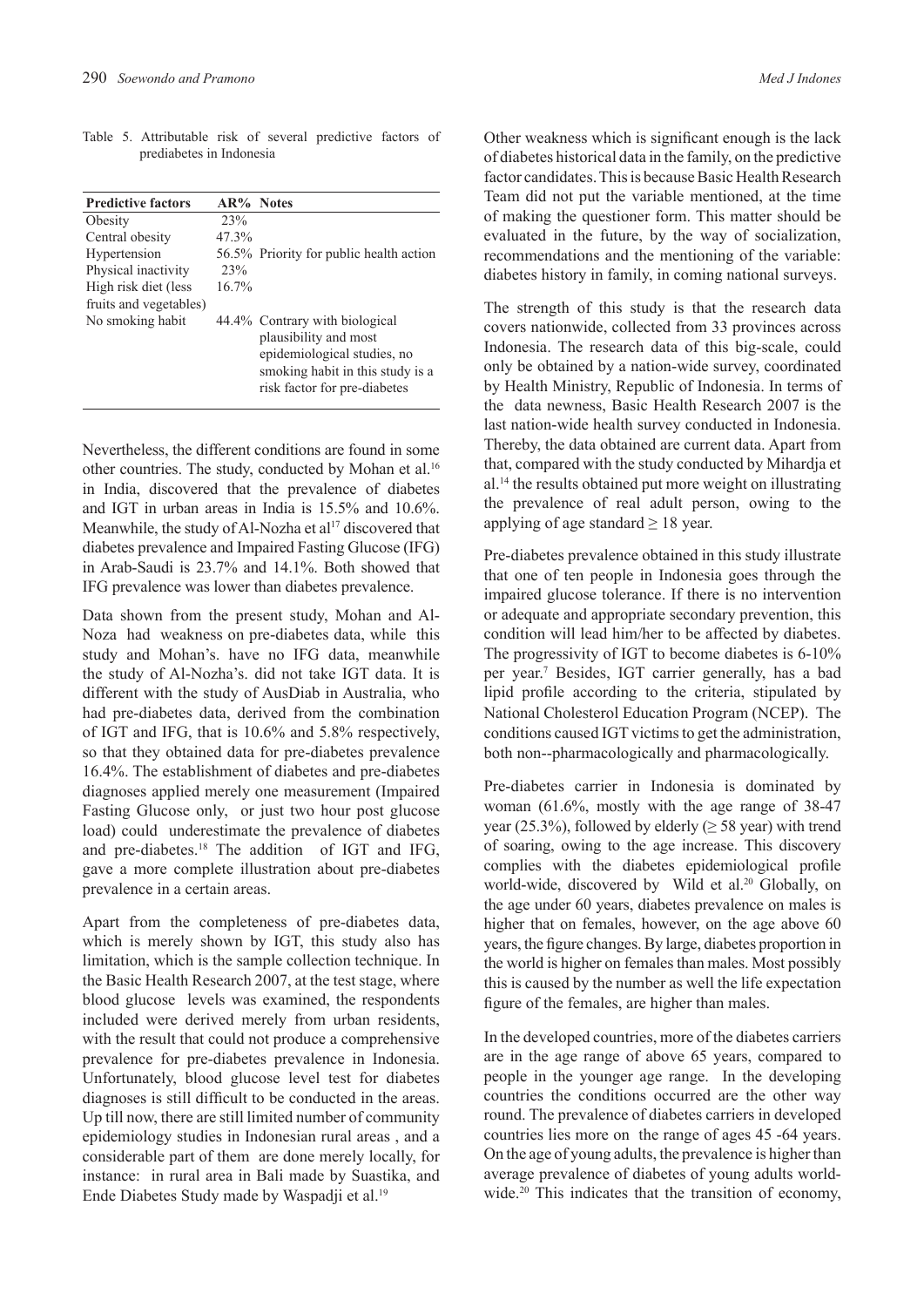|  | Table 5. Attributable risk of several predictive factors of |  |  |  |
|--|-------------------------------------------------------------|--|--|--|
|  | prediabetes in Indonesia                                    |  |  |  |

| <b>Predictive factors</b> | $AR\%$ Notes |                                         |
|---------------------------|--------------|-----------------------------------------|
| Obesity                   | 23%          |                                         |
| Central obesity           | 47.3%        |                                         |
| Hypertension              |              | 56.5% Priority for public health action |
| Physical inactivity       | 23%          |                                         |
| High risk diet (less      | 16.7%        |                                         |
| fruits and vegetables)    |              |                                         |
| No smoking habit          |              | 44.4% Contrary with biological          |
|                           |              | plausibility and most                   |
|                           |              | epidemiological studies, no             |
|                           |              | smoking habit in this study is a        |
|                           |              | risk factor for pre-diabetes            |
|                           |              |                                         |

Nevertheless, the different conditions are found in some other countries. The study, conducted by Mohan et al.<sup>16</sup> in India, discovered that the prevalence of diabetes and IGT in urban areas in India is 15.5% and 10.6%. Meanwhile, the study of Al-Nozha et  $al^{17}$  discovered that diabetes prevalence and Impaired Fasting Glucose (IFG) in Arab-Saudi is 23.7% and 14.1%. Both showed that IFG prevalence was lower than diabetes prevalence.

Data shown from the present study, Mohan and Al-Noza had weakness on pre-diabetes data, while this study and Mohan's. have no IFG data, meanwhile the study of Al-Nozha's. did not take IGT data. It is different with the study of AusDiab in Australia, who had pre-diabetes data, derived from the combination of IGT and IFG, that is 10.6% and 5.8% respectively, so that they obtained data for pre-diabetes prevalence 16.4%. The establishment of diabetes and pre-diabetes diagnoses applied merely one measurement (Impaired Fasting Glucose only, or just two hour post glucose load) could underestimate the prevalence of diabetes and pre-diabetes.<sup>18</sup> The addition of IGT and IFG, gave a more complete illustration about pre-diabetes prevalence in a certain areas.

Apart from the completeness of pre-diabetes data, which is merely shown by IGT, this study also has limitation, which is the sample collection technique. In the Basic Health Research 2007, at the test stage, where blood glucose levels was examined, the respondents included were derived merely from urban residents, with the result that could not produce a comprehensive prevalence for pre-diabetes prevalence in Indonesia. Unfortunately, blood glucose level test for diabetes diagnoses is still difficult to be conducted in the areas. Up till now, there are still limited number of community epidemiology studies in Indonesian rural areas , and a considerable part of them are done merely locally, for instance: in rural area in Bali made by Suastika, and Ende Diabetes Study made by Waspadji et al.<sup>19</sup>

Other weakness which is significant enough is the lack of diabetes historical data in the family, on the predictive factor candidates. This is because Basic Health Research Team did not put the variable mentioned, at the time of making the questioner form. This matter should be evaluated in the future, by the way of socialization, recommendations and the mentioning of the variable: diabetes history in family, in coming national surveys.

The strength of this study is that the research data covers nationwide, collected from 33 provinces across Indonesia. The research data of this big-scale, could only be obtained by a nation-wide survey, coordinated by Health Ministry, Republic of Indonesia. In terms of the data newness, Basic Health Research 2007 is the last nation-wide health survey conducted in Indonesia. Thereby, the data obtained are current data. Apart from that, compared with the study conducted by Mihardja et al.14 the results obtained put more weight on illustrating the prevalence of real adult person, owing to the applying of age standard  $\geq 18$  year.

Pre-diabetes prevalence obtained in this study illustrate that one of ten people in Indonesia goes through the impaired glucose tolerance. If there is no intervention or adequate and appropriate secondary prevention, this condition will lead him/her to be affected by diabetes. The progressivity of IGT to become diabetes is 6-10% per year.<sup>7</sup> Besides, IGT carrier generally, has a bad lipid profile according to the criteria, stipulated by National Cholesterol Education Program (NCEP). The conditions caused IGT victims to get the administration, both non--pharmacologically and pharmacologically.

Pre-diabetes carrier in Indonesia is dominated by woman (61.6%, mostly with the age range of 38-47 year (25.3%), followed by elderly ( $\geq$  58 year) with trend of soaring, owing to the age increase. This discovery complies with the diabetes epidemiological profile world-wide, discovered by Wild et al.<sup>20</sup> Globally, on the age under 60 years, diabetes prevalence on males is higher that on females, however, on the age above 60 years, the figure changes. By large, diabetes proportion in the world is higher on females than males. Most possibly this is caused by the number as well the life expectation figure of the females, are higher than males.

In the developed countries, more of the diabetes carriers are in the age range of above 65 years, compared to people in the younger age range. In the developing countries the conditions occurred are the other way round. The prevalence of diabetes carriers in developed countries lies more on the range of ages 45 -64 years. On the age of young adults, the prevalence is higher than average prevalence of diabetes of young adults worldwide.<sup>20</sup> This indicates that the transition of economy,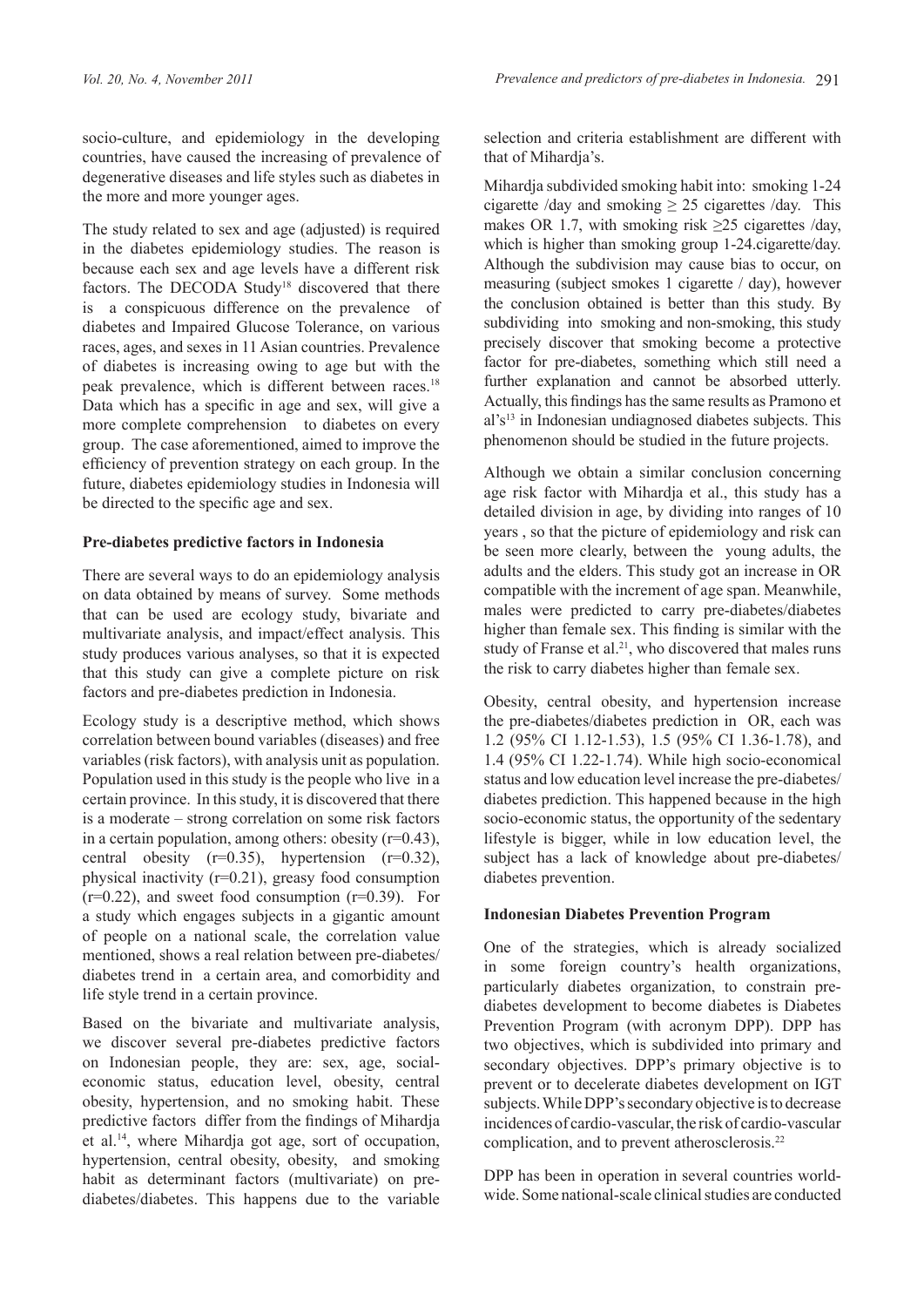The study related to sex and age (adjusted) is required in the diabetes epidemiology studies. The reason is because each sex and age levels have a different risk factors. The DECODA Study<sup>18</sup> discovered that there is a conspicuous difference on the prevalence of diabetes and Impaired Glucose Tolerance, on various races, ages, and sexes in 11 Asian countries. Prevalence of diabetes is increasing owing to age but with the peak prevalence, which is different between races.<sup>18</sup> Data which has a specific in age and sex, will give a more complete comprehension to diabetes on every group. The case aforementioned, aimed to improve the efficiency of prevention strategy on each group. In the future, diabetes epidemiology studies in Indonesia will be directed to the specific age and sex.

## **Pre-diabetes predictive factors in Indonesia**

There are several ways to do an epidemiology analysis on data obtained by means of survey. Some methods that can be used are ecology study, bivariate and multivariate analysis, and impact/effect analysis. This study produces various analyses, so that it is expected that this study can give a complete picture on risk factors and pre-diabetes prediction in Indonesia.

Ecology study is a descriptive method, which shows correlation between bound variables (diseases) and free variables (risk factors), with analysis unit as population. Population used in this study is the people who live in a certain province. In this study, it is discovered that there is a moderate – strong correlation on some risk factors in a certain population, among others: obesity  $(r=0.43)$ , central obesity  $(r=0.35)$ , hypertension  $(r=0.32)$ , physical inactivity (r=0.21), greasy food consumption  $(r=0.22)$ , and sweet food consumption  $(r=0.39)$ . For a study which engages subjects in a gigantic amount of people on a national scale, the correlation value mentioned, shows a real relation between pre-diabetes/ diabetes trend in a certain area, and comorbidity and life style trend in a certain province.

Based on the bivariate and multivariate analysis, we discover several pre-diabetes predictive factors on Indonesian people, they are: sex, age, socialeconomic status, education level, obesity, central obesity, hypertension, and no smoking habit. These predictive factors differ from the findings of Mihardja et al.14, where Mihardja got age, sort of occupation, hypertension, central obesity, obesity, and smoking habit as determinant factors (multivariate) on prediabetes/diabetes. This happens due to the variable

selection and criteria establishment are different with that of Mihardia's.

Mihardja subdivided smoking habit into: smoking 1-24 cigarette /day and smoking  $\geq$  25 cigarettes /day. This makes OR 1.7, with smoking risk  $\geq 25$  cigarettes /day, which is higher than smoking group 1-24.cigarette/day. Although the subdivision may cause bias to occur, on measuring (subject smokes 1 cigarette / day), however the conclusion obtained is better than this study. By subdividing into smoking and non-smoking, this study precisely discover that smoking become a protective factor for pre-diabetes, something which still need a further explanation and cannot be absorbed utterly. Actually, this findings has the same results as Pramono et al's13 in Indonesian undiagnosed diabetes subjects. This phenomenon should be studied in the future projects.

Although we obtain a similar conclusion concerning age risk factor with Mihardja et al., this study has a detailed division in age, by dividing into ranges of 10 years , so that the picture of epidemiology and risk can be seen more clearly, between the young adults, the adults and the elders. This study got an increase in OR compatible with the increment of age span. Meanwhile, males were predicted to carry pre-diabetes/diabetes higher than female sex. This finding is similar with the study of Franse et al.<sup>21</sup>, who discovered that males runs the risk to carry diabetes higher than female sex.

Obesity, central obesity, and hypertension increase the pre-diabetes/diabetes prediction in OR, each was 1.2 (95% CI 1.12-1.53), 1.5 (95% CI 1.36-1.78), and 1.4 (95% CI 1.22-1.74). While high socio-economical status and low education level increase the pre-diabetes/ diabetes prediction. This happened because in the high socio-economic status, the opportunity of the sedentary lifestyle is bigger, while in low education level, the subject has a lack of knowledge about pre-diabetes/ diabetes prevention.

# **Indonesian Diabetes Prevention Program**

One of the strategies, which is already socialized in some foreign country's health organizations, particularly diabetes organization, to constrain prediabetes development to become diabetes is Diabetes Prevention Program (with acronym DPP). DPP has two objectives, which is subdivided into primary and secondary objectives. DPP's primary objective is to prevent or to decelerate diabetes development on IGT subjects. While DPP's secondary objective is to decrease incidences of cardio-vascular, the risk of cardio-vascular complication, and to prevent atherosclerosis.<sup>22</sup>

DPP has been in operation in several countries worldwide. Some national-scale clinical studies are conducted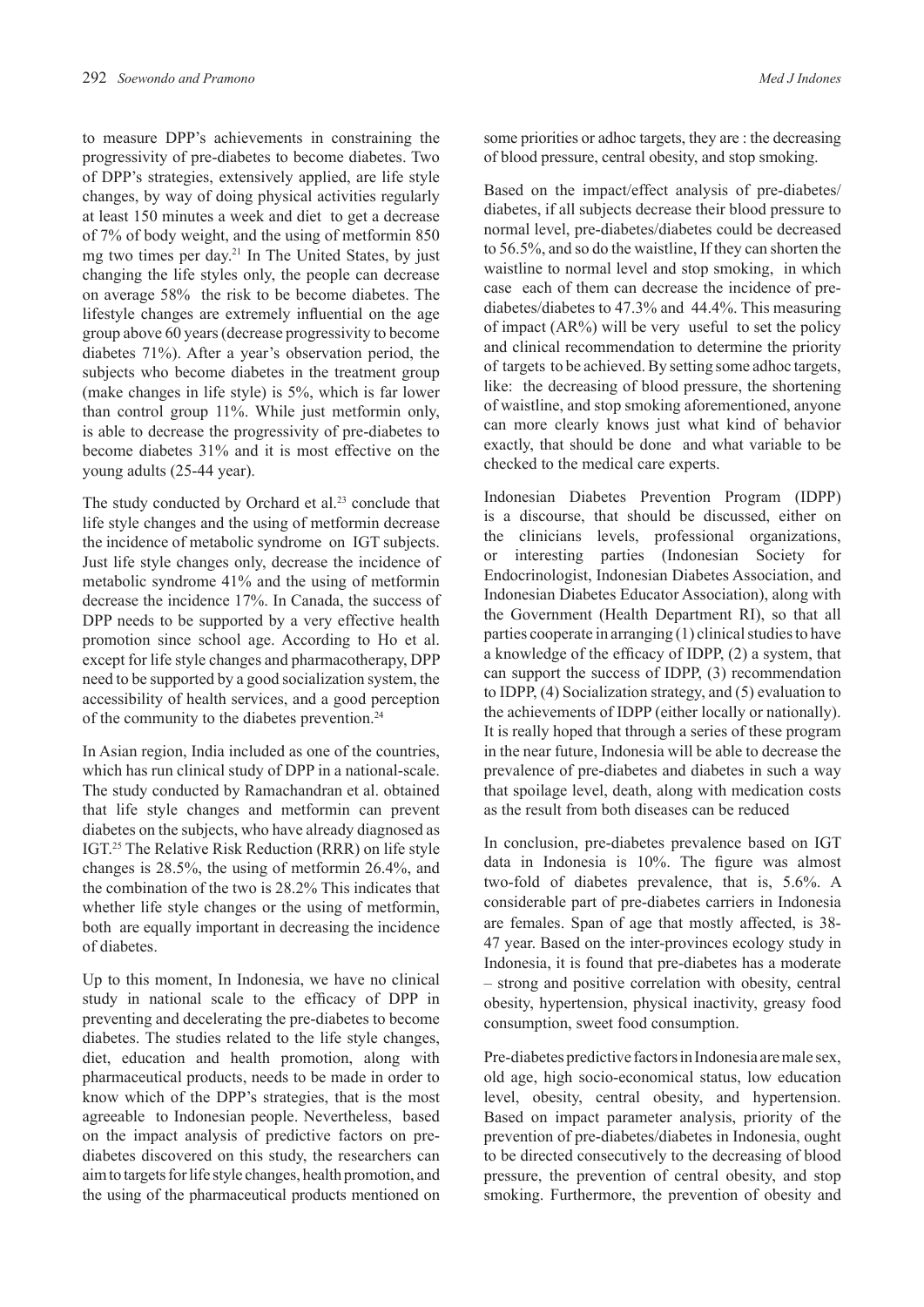to measure DPP's achievements in constraining the progressivity of pre-diabetes to become diabetes. Two of DPP's strategies, extensively applied, are life style changes, by way of doing physical activities regularly at least 150 minutes a week and diet to get a decrease of 7% of body weight, and the using of metformin 850 mg two times per day.21 In The United States, by just changing the life styles only, the people can decrease on average 58% the risk to be become diabetes. The lifestyle changes are extremely influential on the age group above 60 years (decrease progressivity to become diabetes 71%). After a year's observation period, the subjects who become diabetes in the treatment group (make changes in life style) is 5%, which is far lower than control group 11%. While just metformin only, is able to decrease the progressivity of pre-diabetes to become diabetes 31% and it is most effective on the young adults (25-44 year).

The study conducted by Orchard et al.<sup>23</sup> conclude that life style changes and the using of metformin decrease the incidence of metabolic syndrome on IGT subjects. Just life style changes only, decrease the incidence of metabolic syndrome 41% and the using of metformin decrease the incidence 17%. In Canada, the success of DPP needs to be supported by a very effective health promotion since school age. According to Ho et al. except for life style changes and pharmacotherapy, DPP need to be supported by a good socialization system, the accessibility of health services, and a good perception of the community to the diabetes prevention.24

In Asian region, India included as one of the countries, which has run clinical study of DPP in a national-scale. The study conducted by Ramachandran et al. obtained that life style changes and metformin can prevent diabetes on the subjects, who have already diagnosed as IGT.25 The Relative Risk Reduction (RRR) on life style changes is 28.5%, the using of metformin 26.4%, and the combination of the two is 28.2% This indicates that whether life style changes or the using of metformin, both are equally important in decreasing the incidence of diabetes.

Up to this moment, In Indonesia, we have no clinical study in national scale to the efficacy of DPP in preventing and decelerating the pre-diabetes to become diabetes. The studies related to the life style changes, diet, education and health promotion, along with pharmaceutical products, needs to be made in order to know which of the DPP's strategies, that is the most agreeable to Indonesian people. Nevertheless, based on the impact analysis of predictive factors on prediabetes discovered on this study, the researchers can aim to targets for life style changes, health promotion, and the using of the pharmaceutical products mentioned on

some priorities or adhoc targets, they are : the decreasing of blood pressure, central obesity, and stop smoking.

Based on the impact/effect analysis of pre-diabetes/ diabetes, if all subjects decrease their blood pressure to normal level, pre-diabetes/diabetes could be decreased to 56.5%, and so do the waistline, If they can shorten the waistline to normal level and stop smoking, in which case each of them can decrease the incidence of prediabetes/diabetes to 47.3% and 44.4%. This measuring of impact  $(AR\%)$  will be very useful to set the policy and clinical recommendation to determine the priority of targets to be achieved. By setting some adhoc targets, like: the decreasing of blood pressure, the shortening of waistline, and stop smoking aforementioned, anyone can more clearly knows just what kind of behavior exactly, that should be done and what variable to be checked to the medical care experts.

Indonesian Diabetes Prevention Program (IDPP) is a discourse, that should be discussed, either on the clinicians levels, professional organizations, or interesting parties (Indonesian Society for Endocrinologist, Indonesian Diabetes Association, and Indonesian Diabetes Educator Association), along with the Government (Health Department RI), so that all parties cooperate in arranging (1) clinical studies to have a knowledge of the efficacy of IDPP, (2) a system, that can support the success of IDPP, (3) recommendation to IDPP, (4) Socialization strategy, and (5) evaluation to the achievements of IDPP (either locally or nationally). It is really hoped that through a series of these program in the near future, Indonesia will be able to decrease the prevalence of pre-diabetes and diabetes in such a way that spoilage level, death, along with medication costs as the result from both diseases can be reduced

In conclusion, pre-diabetes prevalence based on IGT data in Indonesia is 10%. The figure was almost two-fold of diabetes prevalence, that is, 5.6%. A considerable part of pre-diabetes carriers in Indonesia are females. Span of age that mostly affected, is 38- 47 year. Based on the inter-provinces ecology study in Indonesia, it is found that pre-diabetes has a moderate – strong and positive correlation with obesity, central obesity, hypertension, physical inactivity, greasy food consumption, sweet food consumption.

Pre-diabetes predictive factors in Indonesia are male sex, old age, high socio-economical status, low education level, obesity, central obesity, and hypertension. Based on impact parameter analysis, priority of the prevention of pre-diabetes/diabetes in Indonesia, ought to be directed consecutively to the decreasing of blood pressure, the prevention of central obesity, and stop smoking. Furthermore, the prevention of obesity and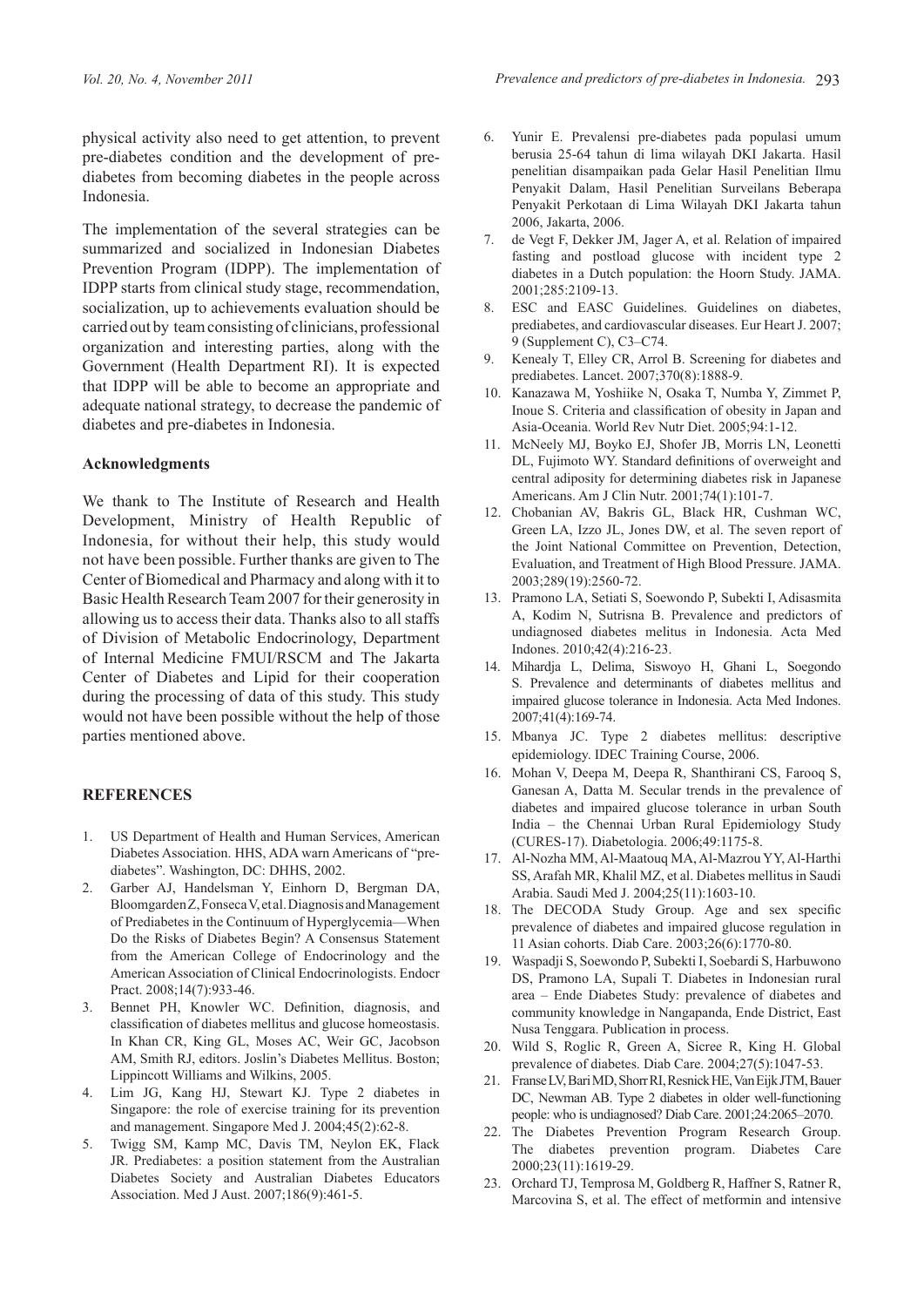physical activity also need to get attention, to prevent pre-diabetes condition and the development of prediabetes from becoming diabetes in the people across Indonesia.

The implementation of the several strategies can be summarized and socialized in Indonesian Diabetes Prevention Program (IDPP). The implementation of IDPP starts from clinical study stage, recommendation, socialization, up to achievements evaluation should be carried out by team consisting of clinicians, professional organization and interesting parties, along with the Government (Health Department RI). It is expected that IDPP will be able to become an appropriate and adequate national strategy, to decrease the pandemic of diabetes and pre-diabetes in Indonesia.

### **Acknowledgments**

We thank to The Institute of Research and Health Development, Ministry of Health Republic of Indonesia, for without their help, this study would not have been possible. Further thanks are given to The Center of Biomedical and Pharmacy and along with it to Basic Health Research Team 2007 for their generosity in allowing us to access their data. Thanks also to all staffs of Division of Metabolic Endocrinology, Department of Internal Medicine FMUI/RSCM and The Jakarta Center of Diabetes and Lipid for their cooperation during the processing of data of this study. This study would not have been possible without the help of those parties mentioned above.

## **REFERENCES**

- 1. US Department of Health and Human Services, American Diabetes Association. HHS, ADA warn Americans of "prediabetes". Washington, DC: DHHS, 2002.
- 2. Garber AJ, Handelsman Y, Einhorn D, Bergman DA, Bloomgarden Z, Fonseca V, et al. Diagnosis and Management of Prediabetes in the Continuum of Hyperglycemia—When Do the Risks of Diabetes Begin? A Consensus Statement from the American College of Endocrinology and the American Association of Clinical Endocrinologists. Endocr Pract. 2008;14(7):933-46.
- 3. Bennet PH, Knowler WC. Definition, diagnosis, and classification of diabetes mellitus and glucose homeostasis. In Khan CR, King GL, Moses AC, Weir GC, Jacobson AM, Smith RJ, editors. Joslin's Diabetes Mellitus. Boston; Lippincott Williams and Wilkins, 2005.
- 4. Lim JG, Kang HJ, Stewart KJ. Type 2 diabetes in Singapore: the role of exercise training for its prevention and management. Singapore Med J. 2004;45(2):62-8.
- 5. Twigg SM, Kamp MC, Davis TM, Neylon EK, Flack JR. Prediabetes: a position statement from the Australian Diabetes Society and Australian Diabetes Educators Association. Med J Aust. 2007;186(9):461-5.
- 6. Yunir E. Prevalensi pre-diabetes pada populasi umum berusia 25-64 tahun di lima wilayah DKI Jakarta. Hasil penelitian disampaikan pada Gelar Hasil Penelitian Ilmu Penyakit Dalam, Hasil Penelitian Surveilans Beberapa Penyakit Perkotaan di Lima Wilayah DKI Jakarta tahun 2006, Jakarta, 2006.
- 7. de Vegt F, Dekker JM, Jager A, et al. Relation of impaired fasting and postload glucose with incident type 2 diabetes in a Dutch population: the Hoorn Study. JAMA. 2001;285:2109-13.
- 8. ESC and EASC Guidelines. Guidelines on diabetes, prediabetes, and cardiovascular diseases. Eur Heart J. 2007; 9 (Supplement C), C3–C74.
- 9. Kenealy T, Elley CR, Arrol B. Screening for diabetes and prediabetes. Lancet. 2007;370(8):1888-9.
- 10. Kanazawa M, Yoshiike N, Osaka T, Numba Y, Zimmet P, Inoue S. Criteria and classification of obesity in Japan and Asia-Oceania. World Rev Nutr Diet. 2005;94:1-12.
- 11. McNeely MJ, Boyko EJ, Shofer JB, Morris LN, Leonetti DL, Fujimoto WY. Standard definitions of overweight and central adiposity for determining diabetes risk in Japanese Americans. Am J Clin Nutr. 2001;74(1):101-7.
- 12. Chobanian AV, Bakris GL, Black HR, Cushman WC, Green LA, Izzo JL, Jones DW, et al. The seven report of the Joint National Committee on Prevention, Detection, Evaluation, and Treatment of High Blood Pressure. JAMA. 2003;289(19):2560-72.
- 13. Pramono LA, Setiati S, Soewondo P, Subekti I, Adisasmita A, Kodim N, Sutrisna B. Prevalence and predictors of undiagnosed diabetes melitus in Indonesia. Acta Med Indones. 2010;42(4):216-23.
- 14. Mihardja L, Delima, Siswoyo H, Ghani L, Soegondo S. Prevalence and determinants of diabetes mellitus and impaired glucose tolerance in Indonesia. Acta Med Indones. 2007;41(4):169-74.
- 15. Mbanya JC. Type 2 diabetes mellitus: descriptive epidemiology. IDEC Training Course, 2006.
- 16. Mohan V, Deepa M, Deepa R, Shanthirani CS, Farooq S, Ganesan A, Datta M. Secular trends in the prevalence of diabetes and impaired glucose tolerance in urban South India – the Chennai Urban Rural Epidemiology Study (CURES-17). Diabetologia. 2006;49:1175-8.
- 17. Al-Nozha MM, Al-Maatouq MA, Al-Mazrou YY, Al-Harthi SS, Arafah MR, Khalil MZ, et al. Diabetes mellitus in Saudi Arabia. Saudi Med J. 2004;25(11):1603-10.
- 18. The DECODA Study Group. Age and sex specific prevalence of diabetes and impaired glucose regulation in 11 Asian cohorts. Diab Care. 2003;26(6):1770-80.
- 19. Waspadji S, Soewondo P, Subekti I, Soebardi S, Harbuwono DS, Pramono LA, Supali T. Diabetes in Indonesian rural area – Ende Diabetes Study: prevalence of diabetes and community knowledge in Nangapanda, Ende District, East Nusa Tenggara. Publication in process.
- 20. Wild S, Roglic R, Green A, Sicree R, King H. Global prevalence of diabetes. Diab Care. 2004;27(5):1047-53.
- 21. Franse LV, Bari MD, Shorr RI, Resnick HE, Van Eijk JTM, Bauer DC, Newman AB. Type 2 diabetes in older well-functioning people: who is undiagnosed? Diab Care. 2001;24:2065–2070.
- 22. The Diabetes Prevention Program Research Group. The diabetes prevention program. Diabetes Care 2000;23(11):1619-29.
- 23. Orchard TJ, Temprosa M, Goldberg R, Haffner S, Ratner R, Marcovina S, et al. The effect of metformin and intensive